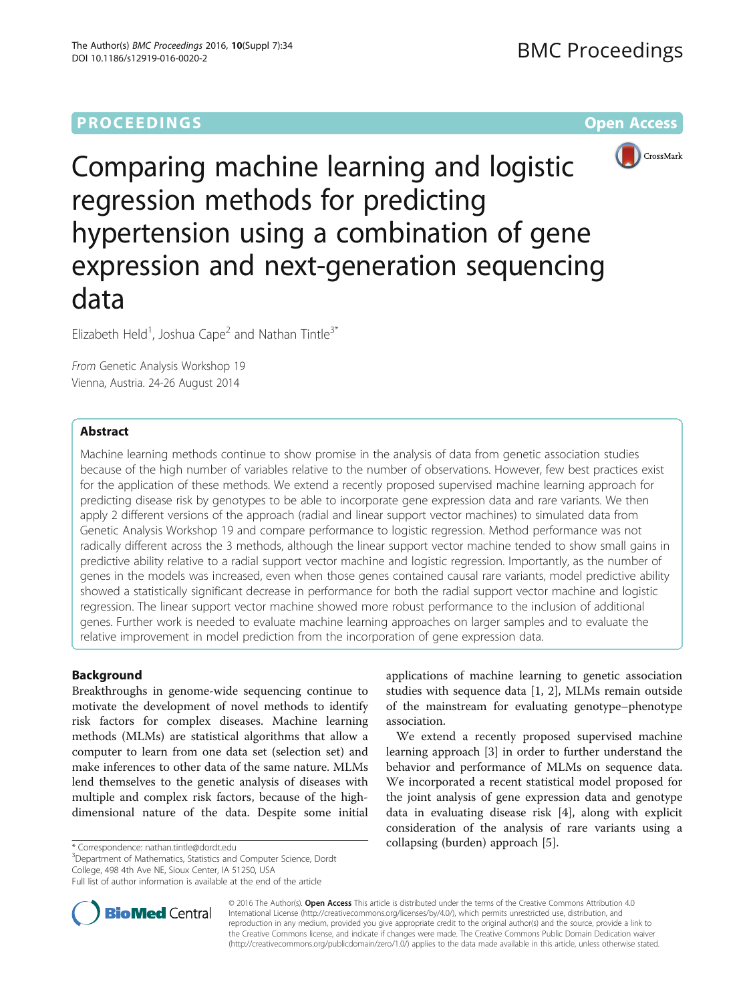# **PROCEEDINGS STATE SERVICE SERVICE SERVICE SERVICE SERVICE SERVICE SERVICE SERVICE SERVICE SERVICE SERVICE SERVICE SERVICE SERVICE SERVICE SERVICE SERVICE SERVICE SERVICE SERVICE SERVICE SERVICE SERVICE SERVICE SERVICE S**



Comparing machine learning and logistic regression methods for predicting hypertension using a combination of gene expression and next-generation sequencing data

Elizabeth Held<sup>1</sup>, Joshua Cape<sup>2</sup> and Nathan Tintle<sup>3\*</sup>

From Genetic Analysis Workshop 19 Vienna, Austria. 24-26 August 2014

# Abstract

Machine learning methods continue to show promise in the analysis of data from genetic association studies because of the high number of variables relative to the number of observations. However, few best practices exist for the application of these methods. We extend a recently proposed supervised machine learning approach for predicting disease risk by genotypes to be able to incorporate gene expression data and rare variants. We then apply 2 different versions of the approach (radial and linear support vector machines) to simulated data from Genetic Analysis Workshop 19 and compare performance to logistic regression. Method performance was not radically different across the 3 methods, although the linear support vector machine tended to show small gains in predictive ability relative to a radial support vector machine and logistic regression. Importantly, as the number of genes in the models was increased, even when those genes contained causal rare variants, model predictive ability showed a statistically significant decrease in performance for both the radial support vector machine and logistic regression. The linear support vector machine showed more robust performance to the inclusion of additional genes. Further work is needed to evaluate machine learning approaches on larger samples and to evaluate the relative improvement in model prediction from the incorporation of gene expression data.

# Background

Breakthroughs in genome-wide sequencing continue to motivate the development of novel methods to identify risk factors for complex diseases. Machine learning methods (MLMs) are statistical algorithms that allow a computer to learn from one data set (selection set) and make inferences to other data of the same nature. MLMs lend themselves to the genetic analysis of diseases with multiple and complex risk factors, because of the highdimensional nature of the data. Despite some initial

collapsing (burden) approach [[5\]](#page-4-0). \* Correspondence: [nathan.tintle@dordt.edu](mailto:nathan.tintle@dordt.edu) <sup>3</sup> Department of Mathematics, Statistics and Computer Science, Dordt College, 498 4th Ave NE, Sioux Center, IA 51250, USA

Full list of author information is available at the end of the article



applications of machine learning to genetic association studies with sequence data [[1, 2](#page-4-0)], MLMs remain outside of the mainstream for evaluating genotype–phenotype association.

We extend a recently proposed supervised machine learning approach [\[3](#page-4-0)] in order to further understand the behavior and performance of MLMs on sequence data. We incorporated a recent statistical model proposed for the joint analysis of gene expression data and genotype data in evaluating disease risk [\[4](#page-4-0)], along with explicit consideration of the analysis of rare variants using a

© 2016 The Author(s). Open Access This article is distributed under the terms of the Creative Commons Attribution 4.0 International License [\(http://creativecommons.org/licenses/by/4.0/](http://creativecommons.org/licenses/by/4.0/)), which permits unrestricted use, distribution, and reproduction in any medium, provided you give appropriate credit to the original author(s) and the source, provide a link to the Creative Commons license, and indicate if changes were made. The Creative Commons Public Domain Dedication waiver [\(http://creativecommons.org/publicdomain/zero/1.0/](http://creativecommons.org/publicdomain/zero/1.0/)) applies to the data made available in this article, unless otherwise stated.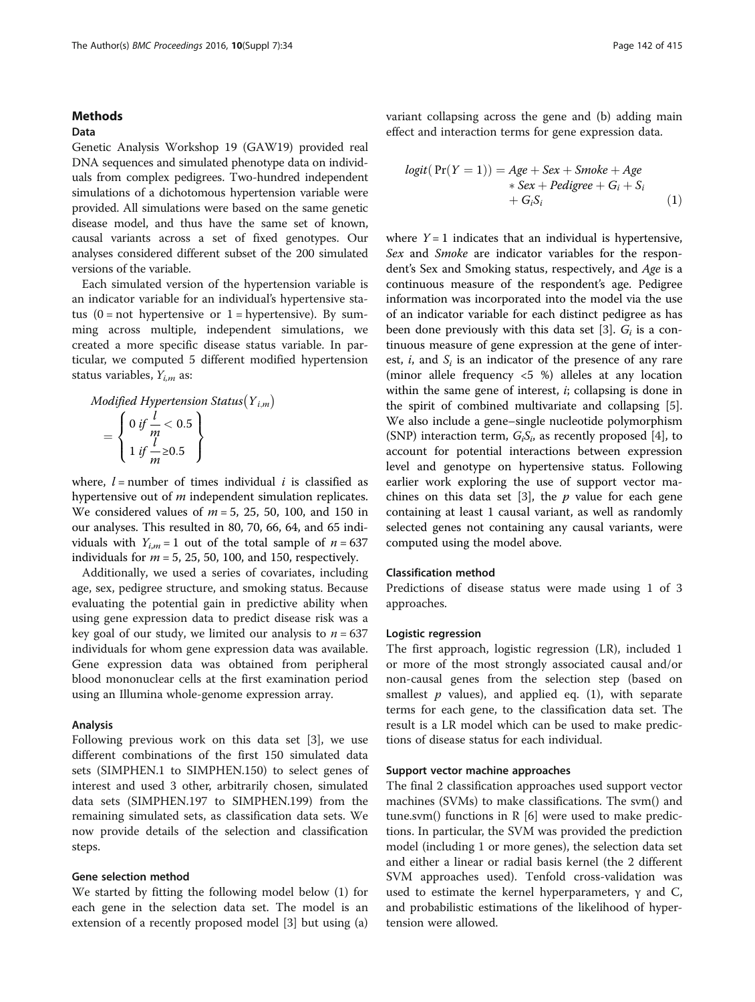# <span id="page-1-0"></span>Methods

# Data

Genetic Analysis Workshop 19 (GAW19) provided real DNA sequences and simulated phenotype data on individuals from complex pedigrees. Two-hundred independent simulations of a dichotomous hypertension variable were provided. All simulations were based on the same genetic disease model, and thus have the same set of known, causal variants across a set of fixed genotypes. Our analyses considered different subset of the 200 simulated versions of the variable.

Each simulated version of the hypertension variable is an indicator variable for an individual's hypertensive status  $(0 = not hypertensive or 1 = hypertensive)$ . By summing across multiple, independent simulations, we created a more specific disease status variable. In particular, we computed 5 different modified hypertension status variables,  $Y_{i,m}$  as:

Modified Hypertension Status
$$
(Y_{i,m})
$$

\n
$$
= \left\{ \begin{array}{l} 0 \text{ if } \frac{l}{m} < 0.5 \\ 1 \text{ if } \frac{l}{m} \geq 0.5 \end{array} \right\}
$$

where,  $l =$  number of times individual i is classified as hypertensive out of *m* independent simulation replicates. We considered values of  $m = 5$ , 25, 50, 100, and 150 in our analyses. This resulted in 80, 70, 66, 64, and 65 individuals with  $Y_{i,m} = 1$  out of the total sample of  $n = 637$ individuals for  $m = 5$ , 25, 50, 100, and 150, respectively.

Additionally, we used a series of covariates, including age, sex, pedigree structure, and smoking status. Because evaluating the potential gain in predictive ability when using gene expression data to predict disease risk was a key goal of our study, we limited our analysis to  $n = 637$ individuals for whom gene expression data was available. Gene expression data was obtained from peripheral blood mononuclear cells at the first examination period using an Illumina whole-genome expression array.

### Analysis

Following previous work on this data set [\[3](#page-4-0)], we use different combinations of the first 150 simulated data sets (SIMPHEN.1 to SIMPHEN.150) to select genes of interest and used 3 other, arbitrarily chosen, simulated data sets (SIMPHEN.197 to SIMPHEN.199) from the remaining simulated sets, as classification data sets. We now provide details of the selection and classification steps.

#### Gene selection method

We started by fitting the following model below (1) for each gene in the selection data set. The model is an extension of a recently proposed model [[3](#page-4-0)] but using (a) variant collapsing across the gene and (b) adding main effect and interaction terms for gene expression data.

$$
logit(Pr(Y = 1)) = Age + Sex + Smoke + Age \n*Sex + Pedigree + Gi + Si \n+ GiSi
$$
\n(1)

where  $Y = 1$  indicates that an individual is hypertensive, Sex and Smoke are indicator variables for the respondent's Sex and Smoking status, respectively, and Age is a continuous measure of the respondent's age. Pedigree information was incorporated into the model via the use of an indicator variable for each distinct pedigree as has been done previously with this data set [[3\]](#page-4-0).  $G_i$  is a continuous measure of gene expression at the gene of interest,  $i$ , and  $S_i$  is an indicator of the presence of any rare (minor allele frequency <5 %) alleles at any location within the same gene of interest,  $i$ ; collapsing is done in the spirit of combined multivariate and collapsing [\[5](#page-4-0)]. We also include a gene–single nucleotide polymorphism (SNP) interaction term,  $G_iS_i$  as recently proposed [[4\]](#page-4-0), to account for potential interactions between expression level and genotype on hypertensive status. Following earlier work exploring the use of support vector ma-chines on this data set [[3](#page-4-0)], the  $p$  value for each gene containing at least 1 causal variant, as well as randomly selected genes not containing any causal variants, were computed using the model above.

# Classification method

Predictions of disease status were made using 1 of 3 approaches.

# Logistic regression

The first approach, logistic regression (LR), included 1 or more of the most strongly associated causal and/or non-causal genes from the selection step (based on smallest  $p$  values), and applied eq. (1), with separate terms for each gene, to the classification data set. The result is a LR model which can be used to make predictions of disease status for each individual.

#### Support vector machine approaches

The final 2 classification approaches used support vector machines (SVMs) to make classifications. The svm() and tune.svm() functions in  $R$  [[6\]](#page-4-0) were used to make predictions. In particular, the SVM was provided the prediction model (including 1 or more genes), the selection data set and either a linear or radial basis kernel (the 2 different SVM approaches used). Tenfold cross-validation was used to estimate the kernel hyperparameters,  $γ$  and C, and probabilistic estimations of the likelihood of hypertension were allowed.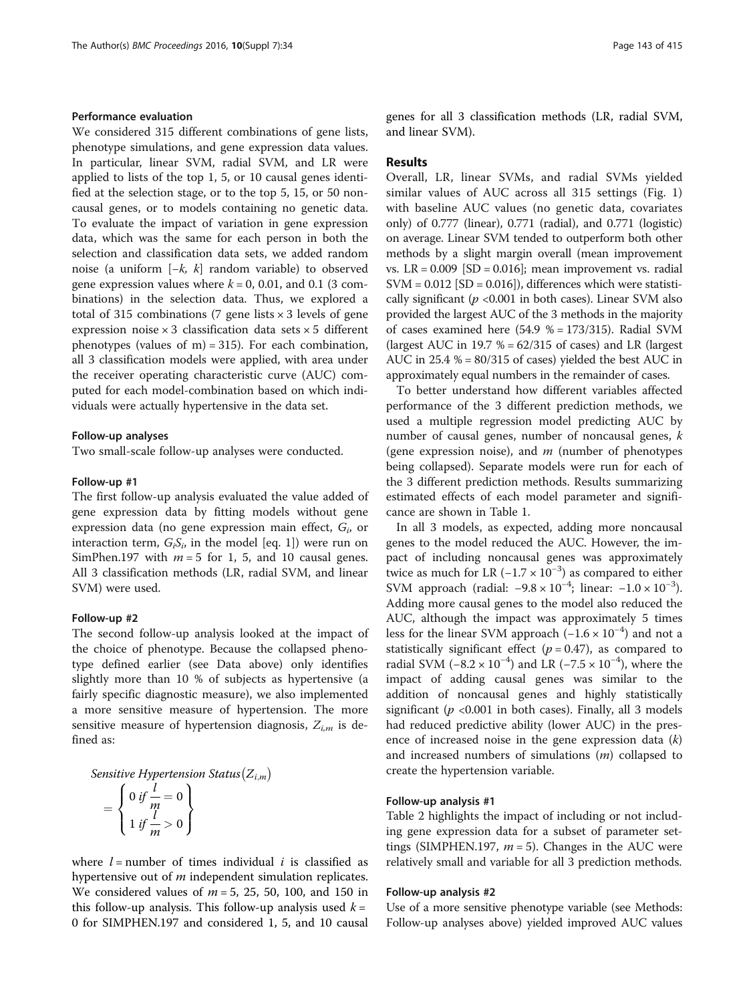# Performance evaluation

We considered 315 different combinations of gene lists, phenotype simulations, and gene expression data values. In particular, linear SVM, radial SVM, and LR were applied to lists of the top 1, 5, or 10 causal genes identified at the selection stage, or to the top 5, 15, or 50 noncausal genes, or to models containing no genetic data. To evaluate the impact of variation in gene expression data, which was the same for each person in both the selection and classification data sets, we added random noise (a uniform [−k, k] random variable) to observed gene expression values where  $k = 0$ , 0.01, and 0.1 (3 combinations) in the selection data. Thus, we explored a total of 315 combinations (7 gene lists  $\times$  3 levels of gene expression noise  $\times$  3 classification data sets  $\times$  5 different phenotypes (values of m) = 315). For each combination, all 3 classification models were applied, with area under the receiver operating characteristic curve (AUC) computed for each model-combination based on which individuals were actually hypertensive in the data set.

#### Follow-up analyses

Two small-scale follow-up analyses were conducted.

#### Follow-up #1

The first follow-up analysis evaluated the value added of gene expression data by fitting models without gene expression data (no gene expression main effect,  $G_i$ , or interaction term,  $G_iS_i$ , in the model [eq. [1\]](#page-1-0)) were run on SimPhen.197 with  $m = 5$  for 1, 5, and 10 causal genes. All 3 classification methods (LR, radial SVM, and linear SVM) were used.

#### Follow-up #2

The second follow-up analysis looked at the impact of the choice of phenotype. Because the collapsed phenotype defined earlier (see [Data](#page-1-0) above) only identifies slightly more than 10 % of subjects as hypertensive (a fairly specific diagnostic measure), we also implemented a more sensitive measure of hypertension. The more sensitive measure of hypertension diagnosis,  $Z_{i,m}$  is defined as:

Sensitive Hypertension Status
$$
(Z_{i,m})
$$
  
= 
$$
\begin{cases} 0 \text{ if } \frac{l}{m} = 0 \\ 1 \text{ if } \frac{l}{m} > 0 \end{cases}
$$

where  $l =$  number of times individual  $i$  is classified as hypertensive out of *m* independent simulation replicates. We considered values of  $m = 5$ , 25, 50, 100, and 150 in this follow-up analysis. This follow-up analysis used  $k =$ 0 for SIMPHEN.197 and considered 1, 5, and 10 causal genes for all 3 classification methods (LR, radial SVM, and linear SVM).

#### Results

Overall, LR, linear SVMs, and radial SVMs yielded similar values of AUC across all 315 settings (Fig. [1](#page-3-0)) with baseline AUC values (no genetic data, covariates only) of 0.777 (linear), 0.771 (radial), and 0.771 (logistic) on average. Linear SVM tended to outperform both other methods by a slight margin overall (mean improvement vs.  $LR = 0.009$  [SD = 0.016]; mean improvement vs. radial  $SVM = 0.012$   $[SD = 0.016]$ , differences which were statistically significant ( $p$  <0.001 in both cases). Linear SVM also provided the largest AUC of the 3 methods in the majority of cases examined here  $(54.9 % = 173/315)$ . Radial SVM (largest AUC in 19.7  $% = 62/315$  of cases) and LR (largest AUC in  $25.4\% = 80/315$  of cases) yielded the best AUC in approximately equal numbers in the remainder of cases.

To better understand how different variables affected performance of the 3 different prediction methods, we used a multiple regression model predicting AUC by number of causal genes, number of noncausal genes, k (gene expression noise), and  $m$  (number of phenotypes being collapsed). Separate models were run for each of the 3 different prediction methods. Results summarizing estimated effects of each model parameter and significance are shown in Table [1](#page-3-0).

In all 3 models, as expected, adding more noncausal genes to the model reduced the AUC. However, the impact of including noncausal genes was approximately twice as much for LR  $(-1.7 \times 10^{-3})$  as compared to either SVM approach (radial:  $-9.8 \times 10^{-4}$ ; linear:  $-1.0 \times 10^{-3}$ ). Adding more causal genes to the model also reduced the AUC, although the impact was approximately 5 times less for the linear SVM approach (-1.6 × 10<sup>-4</sup>) and not a statistically significant effect ( $p = 0.47$ ), as compared to radial SVM (-8.2 × 10<sup>-4</sup>) and LR (-7.5 × 10<sup>-4</sup>), where the impact of adding causal genes was similar to the addition of noncausal genes and highly statistically significant ( $p$  <0.001 in both cases). Finally, all 3 models had reduced predictive ability (lower AUC) in the presence of increased noise in the gene expression data  $(k)$ and increased numbers of simulations  $(m)$  collapsed to create the hypertension variable.

#### Follow-up analysis #1

Table [2](#page-4-0) highlights the impact of including or not including gene expression data for a subset of parameter settings (SIMPHEN.197,  $m = 5$ ). Changes in the AUC were relatively small and variable for all 3 prediction methods.

#### Follow-up analysis #2

Use of a more sensitive phenotype variable (see Methods: Follow-up analyses above) yielded improved AUC values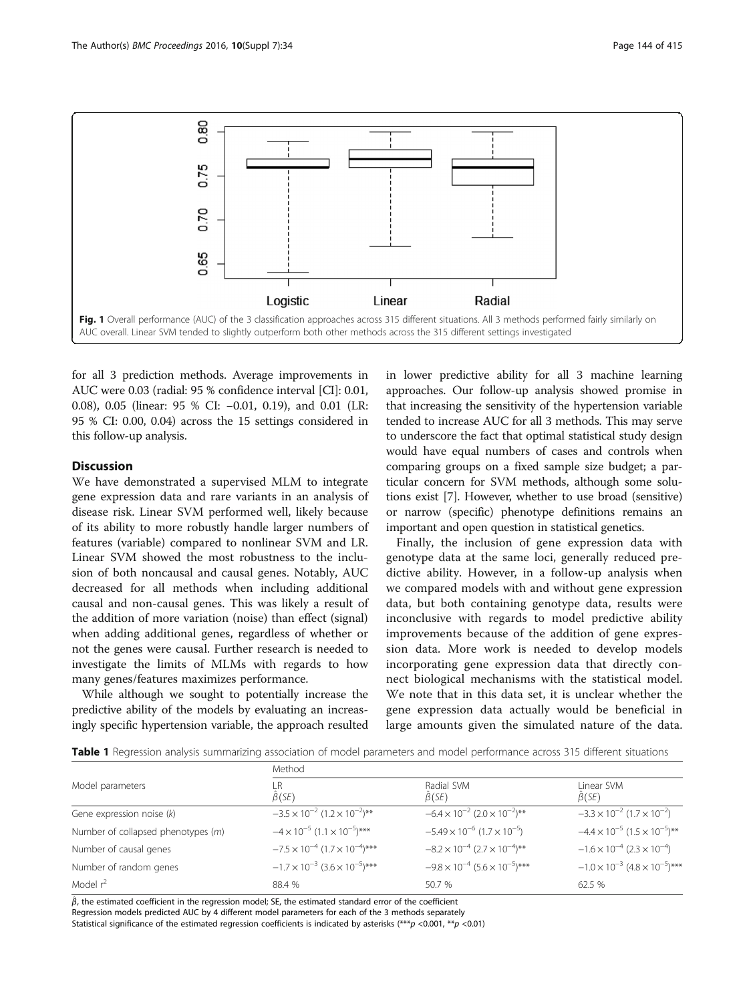<span id="page-3-0"></span>

for all 3 prediction methods. Average improvements in AUC were 0.03 (radial: 95 % confidence interval [CI]: 0.01, 0.08), 0.05 (linear: 95 % CI: −0.01, 0.19), and 0.01 (LR: 95 % CI: 0.00, 0.04) across the 15 settings considered in this follow-up analysis.

# Discussion

We have demonstrated a supervised MLM to integrate gene expression data and rare variants in an analysis of disease risk. Linear SVM performed well, likely because of its ability to more robustly handle larger numbers of features (variable) compared to nonlinear SVM and LR. Linear SVM showed the most robustness to the inclusion of both noncausal and causal genes. Notably, AUC decreased for all methods when including additional causal and non-causal genes. This was likely a result of the addition of more variation (noise) than effect (signal) when adding additional genes, regardless of whether or not the genes were causal. Further research is needed to investigate the limits of MLMs with regards to how many genes/features maximizes performance.

While although we sought to potentially increase the predictive ability of the models by evaluating an increasingly specific hypertension variable, the approach resulted in lower predictive ability for all 3 machine learning approaches. Our follow-up analysis showed promise in that increasing the sensitivity of the hypertension variable tended to increase AUC for all 3 methods. This may serve to underscore the fact that optimal statistical study design would have equal numbers of cases and controls when comparing groups on a fixed sample size budget; a particular concern for SVM methods, although some solutions exist [[7\]](#page-4-0). However, whether to use broad (sensitive) or narrow (specific) phenotype definitions remains an important and open question in statistical genetics.

Finally, the inclusion of gene expression data with genotype data at the same loci, generally reduced predictive ability. However, in a follow-up analysis when we compared models with and without gene expression data, but both containing genotype data, results were inconclusive with regards to model predictive ability improvements because of the addition of gene expression data. More work is needed to develop models incorporating gene expression data that directly connect biological mechanisms with the statistical model. We note that in this data set, it is unclear whether the gene expression data actually would be beneficial in large amounts given the simulated nature of the data.

Table 1 Regression analysis summarizing association of model parameters and model performance across 315 different situations

|                                    | Method                                           |                                                  |                                                  |  |  |
|------------------------------------|--------------------------------------------------|--------------------------------------------------|--------------------------------------------------|--|--|
| Model parameters                   | R<br>$\beta$ (SE)                                | Radial SVM<br>$\beta$ (SE)                       | Linear SVM<br>$\beta$ (SE)                       |  |  |
| Gene expression noise $(k)$        | $-3.5 \times 10^{-2}$ (1.2 $\times 10^{-2}$ )**  | $-6.4 \times 10^{-2}$ (2.0 $\times 10^{-2}$ )**  | $-3.3 \times 10^{-2}$ (1.7 $\times 10^{-2}$ )    |  |  |
| Number of collapsed phenotypes (m) | $-4 \times 10^{-5}$ $(1.1 \times 10^{-5})$ ***   | $-5.49 \times 10^{-6}$ (1.7 $\times 10^{-5}$ )   | $-4.4 \times 10^{-5}$ (1.5 $\times 10^{-5}$ )**  |  |  |
| Number of causal genes             | $-7.5 \times 10^{-4}$ (1.7 $\times 10^{-4}$ )*** | $-8.2 \times 10^{-4}$ (2.7 $\times 10^{-4}$ )**  | $-1.6 \times 10^{-4}$ (2.3 $\times 10^{-4}$ )    |  |  |
| Number of random genes             | $-1.7 \times 10^{-3}$ $(3.6 \times 10^{-5})$ *** | $-9.8 \times 10^{-4}$ (5.6 $\times 10^{-5}$ )*** | $-1.0 \times 10^{-3}$ $(4.8 \times 10^{-5})$ *** |  |  |
| Model $r^2$                        | 88.4 %                                           | 50.7 %                                           | 62.5 %                                           |  |  |

 $\hat{\beta}$ , the estimated coefficient in the regression model; SE, the estimated standard error of the coefficient Regression models predicted AUC by 4 different model parameters for each of the 3 methods separately

Statistical significance of the estimated regression coefficients is indicated by asterisks (\*\*\*p <0.001, \*\*p <0.01)